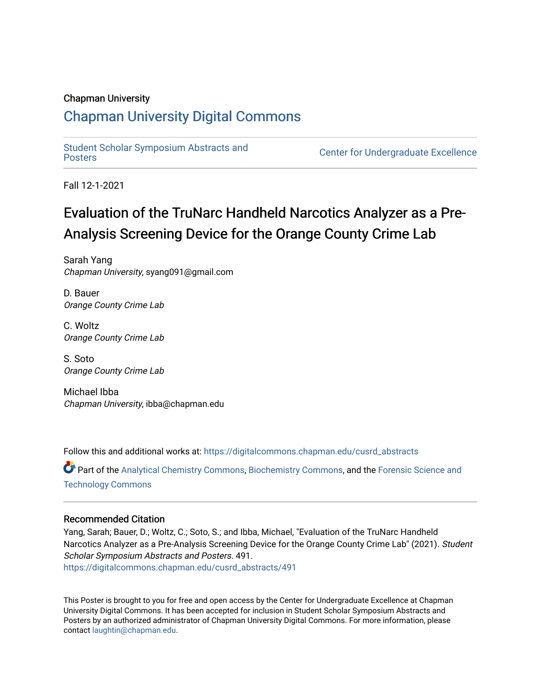### Chapman University

### [Chapman University Digital Commons](https://digitalcommons.chapman.edu/)

[Student Scholar Symposium Abstracts and](https://digitalcommons.chapman.edu/cusrd_abstracts) 

**Center for Undergraduate Excellence** 

Fall 12-1-2021

### Evaluation of the TruNarc Handheld Narcotics Analyzer as a Pre-Analysis Screening Device for the Orange County Crime Lab

Sarah Yang Chapman University, syang091@gmail.com

D. Bauer Orange County Crime Lab

C. Woltz Orange County Crime Lab

S. Soto Orange County Crime Lab

Michael Ibba Chapman University, ibba@chapman.edu

Follow this and additional works at: [https://digitalcommons.chapman.edu/cusrd\\_abstracts](https://digitalcommons.chapman.edu/cusrd_abstracts?utm_source=digitalcommons.chapman.edu%2Fcusrd_abstracts%2F491&utm_medium=PDF&utm_campaign=PDFCoverPages) 

Part of the [Analytical Chemistry Commons,](http://network.bepress.com/hgg/discipline/132?utm_source=digitalcommons.chapman.edu%2Fcusrd_abstracts%2F491&utm_medium=PDF&utm_campaign=PDFCoverPages) [Biochemistry Commons](http://network.bepress.com/hgg/discipline/2?utm_source=digitalcommons.chapman.edu%2Fcusrd_abstracts%2F491&utm_medium=PDF&utm_campaign=PDFCoverPages), and the Forensic Science and [Technology Commons](http://network.bepress.com/hgg/discipline/1277?utm_source=digitalcommons.chapman.edu%2Fcusrd_abstracts%2F491&utm_medium=PDF&utm_campaign=PDFCoverPages) 

### Recommended Citation

Yang, Sarah; Bauer, D.; Woltz, C.; Soto, S.; and Ibba, Michael, "Evaluation of the TruNarc Handheld Narcotics Analyzer as a Pre-Analysis Screening Device for the Orange County Crime Lab" (2021). Student Scholar Symposium Abstracts and Posters. 491. [https://digitalcommons.chapman.edu/cusrd\\_abstracts/491](https://digitalcommons.chapman.edu/cusrd_abstracts/491?utm_source=digitalcommons.chapman.edu%2Fcusrd_abstracts%2F491&utm_medium=PDF&utm_campaign=PDFCoverPages) 

This Poster is brought to you for free and open access by the Center for Undergraduate Excellence at Chapman University Digital Commons. It has been accepted for inclusion in Student Scholar Symposium Abstracts and Posters by an authorized administrator of Chapman University Digital Commons. For more information, please contact [laughtin@chapman.edu](mailto:laughtin@chapman.edu).